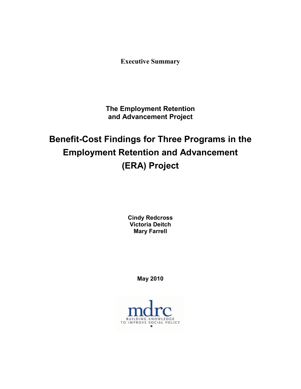**Executive Summary**

**The Employment Retention and Advancement Project**

**Benefit-Cost Findings for Three Programs in the Employment Retention and Advancement (ERA) Project**

> **Cindy Redcross Victoria Deitch Mary Farrell**

> > **May 2010**

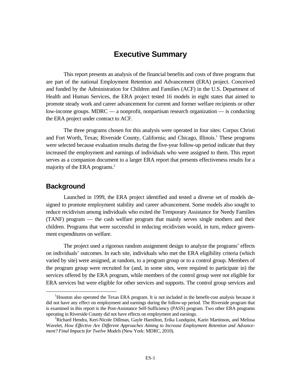# **Executive Summary**

This report presents an analysis of the financial benefits and costs of three programs that are part of the national Employment Retention and Advancement (ERA) project. Conceived and funded by the Administration for Children and Families (ACF) in the U.S. Department of Health and Human Services, the ERA project tested 16 models in eight states that aimed to promote steady work and career advancement for current and former welfare recipients or other low-income groups. MDRC –– a nonprofit, nonpartisan research organization –– is conducting the ERA project under contract to ACF.

The three programs chosen for this analysis were operated in four sites: Corpus Christi and Fort Worth, Texas; Riverside County, California; and Chicago, Illinois.<sup>1</sup> These programs were selected because evaluation results during the five-year follow-up period indicate that they increased the employment and earnings of individuals who were assigned to them. This report serves as a companion document to a larger ERA report that presents effectiveness results for a majority of the ERA programs.<sup>2</sup>

### **Background**

Launched in 1999, the ERA project identified and tested a diverse set of models designed to promote employment stability and career advancement. Some models also sought to reduce recidivism among individuals who exited the Temporary Assistance for Needy Families (TANF) program –– the cash welfare program that mainly serves single mothers and their children. Programs that were successful in reducing recidivism would, in turn, reduce government expenditures on welfare.

The project used a rigorous random assignment design to analyze the programs' effects on individuals' outcomes. In each site, individuals who met the ERA eligibility criteria (which varied by site) were assigned, at random, to a program group or to a control group. Members of the program group were recruited for (and, in some sites, were required to participate in) the services offered by the ERA program, while members of the control group were not eligible for ERA services but were eligible for other services and supports. The control group services and

 $\overline{\phantom{0}1}$ <sup>1</sup>Houston also operated the Texas ERA program. It is not included in the benefit-cost analysis because it did not have any effect on employment and earnings during the follow-up period. The Riverside program that is examined in this report is the Post-Assistance Self-Sufficiency (PASS) program. Two other ERA programs operating in Riverside County did not have effects on employment and earnings. 2

<sup>&</sup>lt;sup>2</sup>Richard Hendra, Keri-Nicole Dillman, Gayle Hamilton, Erika Lundquist, Karin Martinson, and Melissa Wavelet*, How Effective Are Different Approaches Aiming to Increase Employment Retention and Advancement? Final Impacts for Twelve Models* (New York: MDRC, 2010).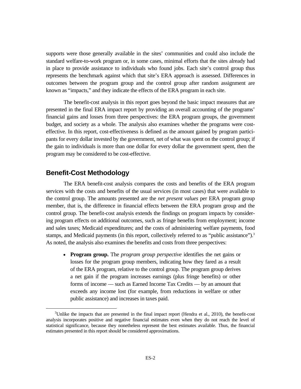supports were those generally available in the sites' communities and could also include the standard welfare-to-work program or, in some cases, minimal efforts that the sites already had in place to provide assistance to individuals who found jobs. Each site's control group thus represents the benchmark against which that site's ERA approach is assessed. Differences in outcomes between the program group and the control group after random assignment are known as "impacts," and they indicate the effects of the ERA program in each site.

The benefit-cost analysis in this report goes beyond the basic impact measures that are presented in the final ERA impact report by providing an overall accounting of the programs' financial gains and losses from three perspectives: the ERA program groups, the government budget, and society as a whole. The analysis also examines whether the programs were costeffective. In this report, cost-effectiveness is defined as the amount gained by program participants for every dollar invested by the government, net of what was spent on the control group; if the gain to individuals is more than one dollar for every dollar the government spent, then the program may be considered to be cost-effective.

### **Benefit-Cost Methodology**

The ERA benefit-cost analysis compares the costs and benefits of the ERA program services with the costs and benefits of the usual services (in most cases) that were available to the control group. The amounts presented are the *net present values* per ERA program group member, that is, the difference in financial effects between the ERA program group and the control group. The benefit-cost analysis extends the findings on program impacts by considering program effects on additional outcomes, such as fringe benefits from employment; income and sales taxes; Medicaid expenditures; and the costs of administering welfare payments, food stamps, and Medicaid payments (in this report, collectively referred to as "public assistance").<sup>3</sup> As noted, the analysis also examines the benefits and costs from three perspectives:

 **Program group.** The *program group perspective* identifies the net gains or losses for the program group members, indicating how they fared as a result of the ERA program, relative to the control group. The program group derives a net gain if the program increases earnings (plus fringe benefits) or other forms of income –– such as Earned Income Tax Credits –– by an amount that exceeds any income lost (for example, from reductions in welfare or other public assistance) and increases in taxes paid.

 $\frac{1}{3}$ <sup>3</sup>Unlike the impacts that are presented in the final impact report (Hendra et al., 2010), the benefit-cost analysis incorporates positive and negative financial estimates even when they do not reach the level of statistical significance, because they nonetheless represent the best estimates available. Thus, the financial estimates presented in this report should be considered approximations.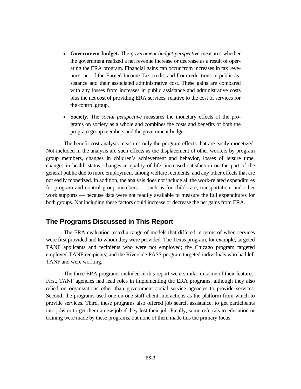- **Government budget.** The *government budget perspective* measures whether the government realized a net revenue increase or decrease as a result of operating the ERA program. Financial gains can occur from increases in tax revenues, net of the Earned Income Tax credit, and from reductions in public assistance and their associated administrative cost. These gains are compared with any losses from increases in public assistance and administrative costs plus the net cost of providing ERA services, relative to the cost of services for the control group.
- **Society.** The *social perspective* measures the monetary effects of the programs on society as a whole and combines the costs and benefits of both the program group members and the government budget.

The benefit-cost analysis measures only the program effects that are easily monetized. Not included in the analysis are such effects as the displacement of other workers by program group members, changes in children's achievement and behavior, losses of leisure time, changes in health status, changes in quality of life, increased satisfaction on the part of the general public due to more employment among welfare recipients, and any other effects that are not easily monetized. In addition, the analysis does not include all the work-related expenditures for program and control group members –– such as for child care, transportation, and other work supports –– because data were not readily available to measure the full expenditures for both groups. Not including these factors could increase or decrease the net gains from ERA.

## **The Programs Discussed in This Report**

The ERA evaluation tested a range of models that differed in terms of when services were first provided and to whom they were provided. The Texas program, for example, targeted TANF applicants and recipients who were not employed; the Chicago program targeted employed TANF recipients; and the Riverside PASS program targeted individuals who had left TANF and were working.

The three ERA programs included in this report were similar in some of their features. First, TANF agencies had lead roles in implementing the ERA programs, although they also relied on organizations other than government social service agencies to provide services. Second, the programs used one-on-one staff-client interactions as the platform from which to provide services. Third, these programs also offered job search assistance, to get participants into jobs or to get them a new job if they lost their job. Finally, some referrals to education or training were made by these programs, but none of them made this the primary focus.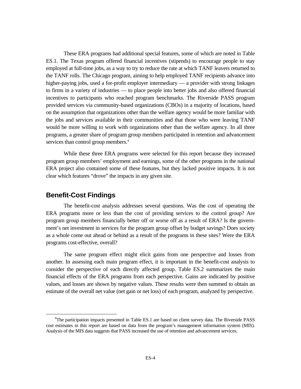These ERA programs had additional special features, some of which are noted in Table ES.1. The Texas program offered financial incentives (stipends) to encourage people to stay employed at full-time jobs, as a way to try to reduce the rate at which TANF leavers returned to the TANF rolls. The Chicago program, aiming to help employed TANF recipients advance into higher-paying jobs, used a for-profit employer intermediary — a provider with strong linkages to firms in a variety of industries –– to place people into better jobs and also offered financial incentives to participants who reached program benchmarks. The Riverside PASS program provided services via community-based organizations (CBOs) in a majority of locations, based on the assumption that organizations other than the welfare agency would be more familiar with the jobs and services available in their communities and that those who were leaving TANF would be more willing to work with organizations other than the welfare agency. In all three programs, a greater share of program group members participated in retention and advancement services than control group members.<sup>4</sup>

While these three ERA programs were selected for this report because they increased program group members' employment and earnings, some of the other programs in the national ERA project also contained some of these features, but they lacked positive impacts. It is not clear which features "drove" the impacts in any given site.

### **Benefit-Cost Findings**

The benefit-cost analysis addresses several questions. Was the cost of operating the ERA programs more or less than the cost of providing services to the control group? Are program group members financially better off or worse off as a result of ERA? Is the government's net investment in services for the program group offset by budget savings? Does society as a whole come out ahead or behind as a result of the programs in these sites? Were the ERA programs cost-effective, overall?

The same program effect might elicit gains from one perspective and losses from another. In assessing each main program effect, it is important in the benefit-cost analysis to consider the perspective of each directly affected group. Table ES.2 summarizes the main financial effects of the ERA programs from each perspective. Gains are indicated by positive values, and losses are shown by negative values. These results were then summed to obtain an estimate of the overall net value (net gain or net loss) of each program, analyzed by perspective.

 $\overline{4}$ <sup>4</sup>The participation impacts presented in Table ES.1 are based on client survey data. The Riverside PASS cost estimates in this report are based on data from the program's management information system (MIS). Analysis of the MIS data suggests that PASS increased the use of retention and advancement services.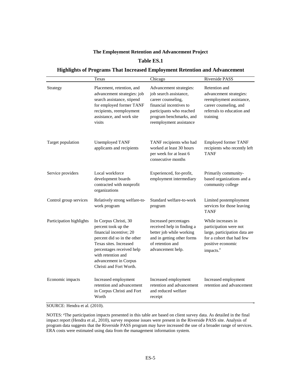#### **The Employment Retention and Advancement Project**

#### **Table ES.1**

#### **Highlights of Programs That Increased Employment Retention and Advancement**

|                          | Texas                                                                                                                                                                                                                                   | Chicago                                                                                                                                                                              | Riverside PASS                                                                                                                                           |  |
|--------------------------|-----------------------------------------------------------------------------------------------------------------------------------------------------------------------------------------------------------------------------------------|--------------------------------------------------------------------------------------------------------------------------------------------------------------------------------------|----------------------------------------------------------------------------------------------------------------------------------------------------------|--|
| Strategy                 | Placement, retention, and<br>advancement strategies: job<br>search assistance, stipend<br>for employed former TANF<br>recipients, reemployment<br>assistance, and work site<br>visits                                                   | Advancement strategies:<br>job search assistance,<br>career counseling,<br>financial incentives to<br>participants who reached<br>program benchmarks, and<br>reemployment assistance | Retention and<br>advancement strategies:<br>reemployment assistance,<br>career counseling, and<br>referrals to education and<br>training                 |  |
| Target population        | Unemployed TANF<br>applicants and recipients                                                                                                                                                                                            | TANF recipients who had<br>worked at least 30 hours<br>per week for at least 6<br>consecutive months                                                                                 | <b>Employed former TANF</b><br>recipients who recently left<br><b>TANF</b>                                                                               |  |
| Service providers        | Local workforce<br>development boards<br>contracted with nonprofit<br>organizations                                                                                                                                                     | Experienced, for-profit,<br>employment intermediary                                                                                                                                  | Primarily community-<br>based organizations and a<br>community college                                                                                   |  |
| Control group services   | Relatively strong welfare-to-<br>work program                                                                                                                                                                                           | Standard welfare-to-work<br>program                                                                                                                                                  | Limited postemployment<br>services for those leaving<br><b>TANF</b>                                                                                      |  |
| Participation highlights | In Corpus Christi, 30<br>percent took up the<br>financial incentive; 20<br>percent did so in the other<br>Texas sites. Increased<br>percentages received help<br>with retention and<br>advancement in Corpus<br>Christi and Fort Worth. | Increased percentages<br>received help in finding a<br>better job while working<br>and in getting other forms<br>of retention and<br>advancement help.                               | While increases in<br>participation were not<br>large, participation data are<br>for a cohort that had few<br>positive economic<br>impacts. <sup>a</sup> |  |
| Economic impacts         | Increased employment<br>retention and advancement<br>in Corpus Christi and Fort<br>Worth                                                                                                                                                | Increased employment<br>retention and advancement<br>and reduced welfare<br>receipt                                                                                                  | Increased employment<br>retention and advancement                                                                                                        |  |

SOURCE: Hendra et al. (2010).

NOTES: aThe participation impacts presented in this table are based on client survey data. As detailed in the final impact report (Hendra et al., 2010), survey response issues were present in the Riverside PASS site. Analysis of program data suggests that the Riverside PASS program may have increased the use of a broader range of services. ERA costs were estimated using data from the management information system.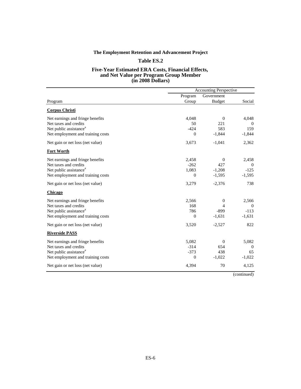#### **The Employment Retention and Advancement Project**

#### **Table ES.2**

#### **Five-Year Estimated ERA Costs, Financial Effects, and Net Value per Program Group Member (in 2008 Dollars)**

|                                    | <b>Accounting Perspective</b> |                |                  |
|------------------------------------|-------------------------------|----------------|------------------|
|                                    | Program                       | Government     |                  |
| Program                            | Group                         | <b>Budget</b>  | Social           |
| <b>Corpus Christi</b>              |                               |                |                  |
| Net earnings and fringe benefits   | 4,048                         | $\Omega$       | 4,048            |
| Net taxes and credits              | 50                            | 221            | $\theta$         |
| Net public assistance <sup>a</sup> | $-424$                        | 583            | 159              |
| Net employment and training costs  | $\overline{0}$                | $-1,844$       | $-1,844$         |
| Net gain or net loss (net value)   | 3,673                         | $-1,041$       | 2,362            |
| <b>Fort Worth</b>                  |                               |                |                  |
| Net earnings and fringe benefits   | 2,458                         | $\mathbf{0}$   | 2,458            |
| Net taxes and credits              | $-262$                        | 427            | $\Omega$         |
| Net public assistance <sup>a</sup> | 1,083                         | $-1,208$       | $-125$           |
| Net employment and training costs  | $\overline{0}$                | $-1,595$       | $-1,595$         |
| Net gain or net loss (net value)   | 3,279                         | $-2,376$       | 738              |
| Chicago                            |                               |                |                  |
| Net earnings and fringe benefits   | 2,566                         | $\overline{0}$ | 2,566            |
| Net taxes and credits              | 168                           | 4              | $\boldsymbol{0}$ |
| Net public assistance <sup>a</sup> | 786                           | $-899$         | $-113$           |
| Net employment and training costs  | $\overline{0}$                | $-1,631$       | $-1,631$         |
| Net gain or net loss (net value)   | 3,520                         | $-2,527$       | 822              |
| <b>Riverside PASS</b>              |                               |                |                  |
| Net earnings and fringe benefits   | 5,082                         | $\Omega$       | 5,082            |
| Net taxes and credits              | $-314$                        | 654            | $\theta$         |
| Net public assistance <sup>a</sup> | $-373$                        | 438            | 65               |
| Net employment and training costs  | $\mathbf{0}$                  | $-1,022$       | $-1,022$         |
| Net gain or net loss (net value)   | 4,394                         | 70             | 4,125            |
|                                    |                               |                |                  |

(continued)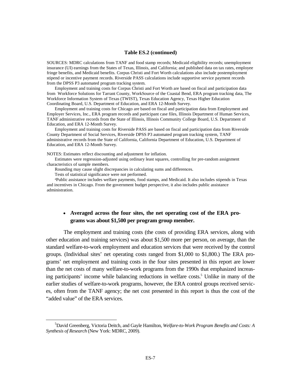#### **Table ES.2 (continued)**

SOURCES: MDRC calculations from TANF and food stamp records; Medicaid eligibility records; unemployment insurance (UI) earnings from the States of Texas, Illinois, and California; and published data on tax rates, employee fringe benefits, and Medicaid benefits. Corpus Christi and Fort Worth calculations also include postemployment stipend or incentive payment records. Riverside PASS calculations include supportive service payment records from the DPSS P3 automated program tracking system.

Employment and training costs for Corpus Christi and Fort Worth are based on fiscal and participation data from Workforce Solutions for Tarrant County, WorkSource of the Coastal Bend, ERA program tracking data, The Workforce Information System of Texas (TWIST), Texas Education Agency, Texas Higher Education Coordinating Board, U.S. Department of Education, and ERA 12-Month Survey.

Employment and training costs for Chicago are based on fiscal and participation data from Employment and Employer Services, Inc., ERA program records and participant case files, Illinois Department of Human Services, TANF administrative records from the State of Illinois, Illinois Community College Board, U.S. Department of Education, and ERA 12-Month Survey.

Employment and training costs for Riverside PASS are based on fiscal and participation data from Riverside County Department of Social Services, Riverside DPSS P3 automated program tracking system, TANF administrative records from the State of California, California Department of Education, U.S. Department of Education, and ERA 12-Month Survey.

NOTES: Estimates reflect discounting and adjustment for inflation.

Estimates were regression-adjusted using ordinary least squares, controlling for pre-random assignment characteristics of sample members.

Rounding may cause slight discrepancies in calculating sums and differences.

Tests of statistical significance were not performed.

aPublic assistance includes welfare payments, food stamps, and Medicaid. It also includes stipends in Texas and incentives in Chicago. From the government budget perspective, it also includes public assistance administration.

### **Averaged across the four sites, the net operating cost of the ERA programs was about \$1,500 per program group member.**

The employment and training costs (the costs of providing ERA services, along with other education and training services) was about \$1,500 more per person, on average, than the standard welfare-to-work employment and education services that were received by the control groups. (Individual sites' net operating costs ranged from \$1,000 to \$1,800.) The ERA programs' net employment and training costs in the four sites presented in this report are lower than the net costs of many welfare-to-work programs from the 1990s that emphasized increasing participants' income while balancing reductions in welfare costs.<sup>5</sup> Unlike in many of the earlier studies of welfare-to-work programs, however, the ERA control groups received services, often from the TANF agency; the net cost presented in this report is thus the cost of the "added value" of the ERA services.

 $\frac{1}{5}$ David Greenberg, Victoria Deitch, and Gayle Hamilton, *Welfare-to-Work Program Benefits and Costs: A Synthesis of Research* (New York: MDRC, 2009).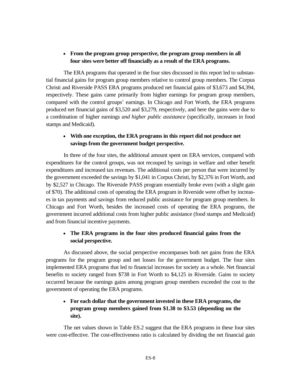### **From the program group perspective, the program group members in all four sites were better off financially as a result of the ERA programs.**

The ERA programs that operated in the four sites discussed in this report led to substantial financial gains for program group members relative to control group members. The Corpus Christi and Riverside PASS ERA programs produced net financial gains of \$3,673 and \$4,394, respectively. These gains came primarily from higher earnings for program group members, compared with the control groups' earnings. In Chicago and Fort Worth, the ERA programs produced net financial gains of \$3,520 and \$3,279, respectively, and here the gains were due to a combination of higher earnings *and higher public assistance* (specifically, increases in food stamps and Medicaid).

### **With one exception, the ERA programs in this report did not produce net savings from the government budget perspective.**

In three of the four sites, the additional amount spent on ERA services, compared with expenditures for the control groups, was not recouped by savings in welfare and other benefit expenditures and increased tax revenues. The additional costs per person that were incurred by the government exceeded the savings by \$1,041 in Corpus Christi, by \$2,376 in Fort Worth, and by \$2,527 in Chicago. The Riverside PASS program essentially broke even (with a slight gain of \$70). The additional costs of operating the ERA program in Riverside were offset by increases in tax payments and savings from reduced public assistance for program group members. In Chicago and Fort Worth, besides the increased costs of operating the ERA programs, the government incurred additional costs from higher public assistance (food stamps and Medicaid) and from financial incentive payments.

### **The ERA programs in the four sites produced financial gains from the social perspective.**

As discussed above, the social perspective encompasses both net gains from the ERA programs for the program group and net losses for the government budget. The four sites implemented ERA programs that led to financial increases for society as a whole. Net financial benefits to society ranged from \$738 in Fort Worth to \$4,125 in Riverside. Gains to society occurred because the earnings gains among program group members exceeded the cost to the government of operating the ERA programs.

## **For each dollar that the government invested in these ERA programs, the program group members gained from \$1.38 to \$3.53 (depending on the site).**

The net values shown in Table ES.2 suggest that the ERA programs in these four sites were cost-effective. The cost-effectiveness ratio is calculated by dividing the net financial gain